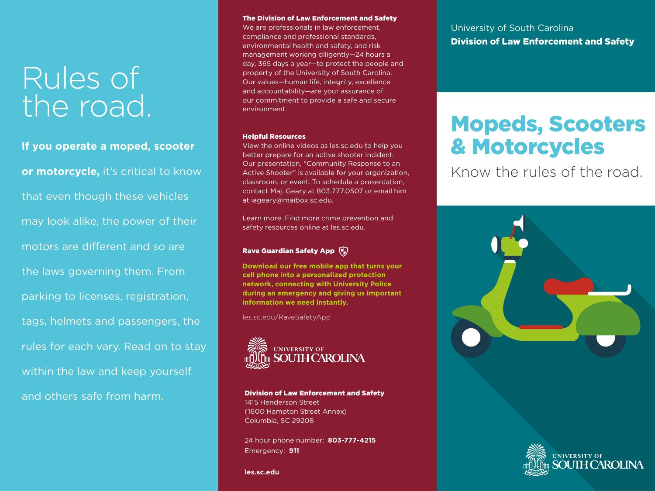# Rules of the road.

**If you operate a moped, scooter or motorcycle,** it's critical to know that even though these vehicles may look alike, the power of their motors are different and so are the laws governing them. From parking to licenses, registration, tags, helmets and passengers, the rules for each vary. Read on to stay within the law and keep yourself and others safe from harm.

#### The Division of Law Enforcement and Safety

We are professionals in law enforcement, compliance and professional standards, environmental health and safety, and risk management working diligently—24 hours a day, 365 days a year—to protect the people and property of the University of South Carolina. Our values—human life, integrity, excellence and accountability—are your assurance of our commitment to provide a safe and secure environment.

#### Helpful Resources

View the online videos as les.sc.edu to help you better prepare for an active shooter incident. Our presentation, "Community Response to an Active Shooter" is available for your organization, classroom, or event. To schedule a presentation, contact Maj. Geary at 803.777.0507 or email him at iageary@maibox.sc.edu.

Learn more. Find more crime prevention and safety resources online at les.sc.edu.

#### Rave Guardian Safety App

**Download our free mobile app that turns your cell phone into a personalized protection network, connecting with University Police during an emergency and giving us important information we need instantly.**

les.sc.edu/RaveSafetyApp



Division of Law Enforcement and Safety 1415 Henderson Street (1600 Hampton Street Annex) Columbia, SC 29208

24 hour phone number: **803-777-4215** Emergency: **911**

University of South Carolina Division of Law Enforcement and Safety

# Mopeds, Scooters & Motorcycles

Know the rules of the road.





**les.sc.edu**